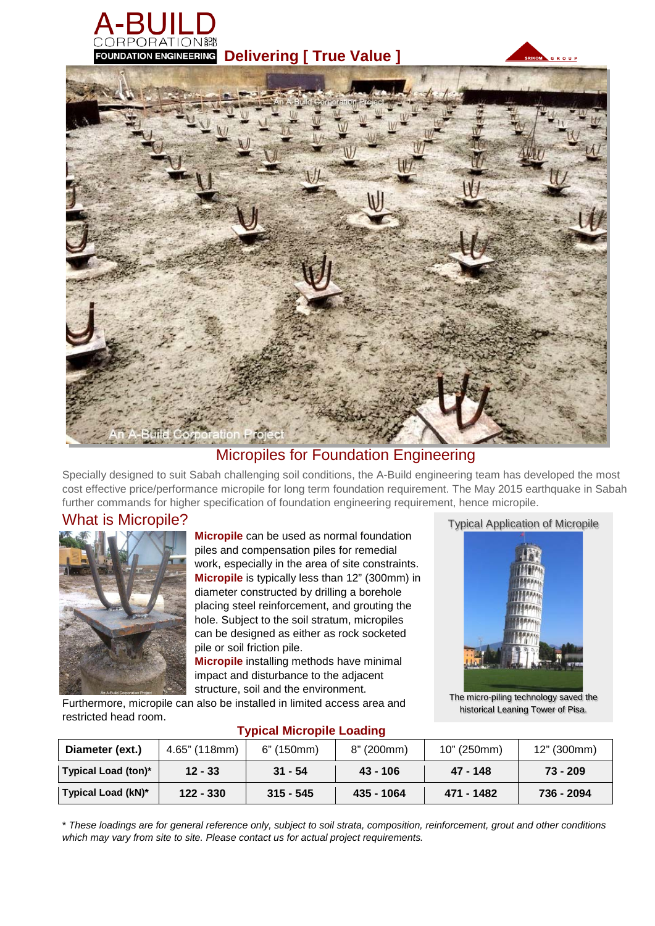

**FOUNDATION ENGINEERING Delivering | True Value ]** 





#### Micropiles for Foundation Engineering

Specially designed to suit Sabah challenging soil conditions, the A-Build engineering team has developed the most cost effective price/performance micropile for long term foundation requirement. The May 2015 earthquake in Sabah further commands for higher specification of foundation engineering requirement, hence micropile.

#### What is Micropile?



**Micropile** can be used as normal foundation piles and compensation piles for remedial work, especially in the area of site constraints. **Micropile** is typically less than 12" (300mm) in diameter constructed by drilling a borehole placing steel reinforcement, and grouting the hole. Subject to the soil stratum, micropiles can be designed as either as rock socketed pile or soil friction pile.

**Micropile** installing methods have minimal impact and disturbance to the adjacent structure, soil and the environment.

Furthermore, micropile can also be installed in limited access area and restricted head room.





The micro-piling technology saved the historical Leaning Tower of Pisa.

| Diameter (ext.)     | 4.65" (118mm) | 6" (150mm)  | 8" (200mm) | 10" (250mm) | 12" (300mm) |
|---------------------|---------------|-------------|------------|-------------|-------------|
| Typical Load (ton)* | $12 - 33$     | $31 - 54$   | $43 - 106$ | 47 - 148    | $73 - 209$  |
| Typical Load (kN)*  | $122 - 330$   | $315 - 545$ | 435 - 1064 | 471 - 1482  | 736 - 2094  |

#### **Typical Micropile Loading**

\* These loadings are for general reference only, subject to soil strata, composition, reinforcement, grout and other conditions *which may vary from site to site. Please contact us for actual project requirements.*